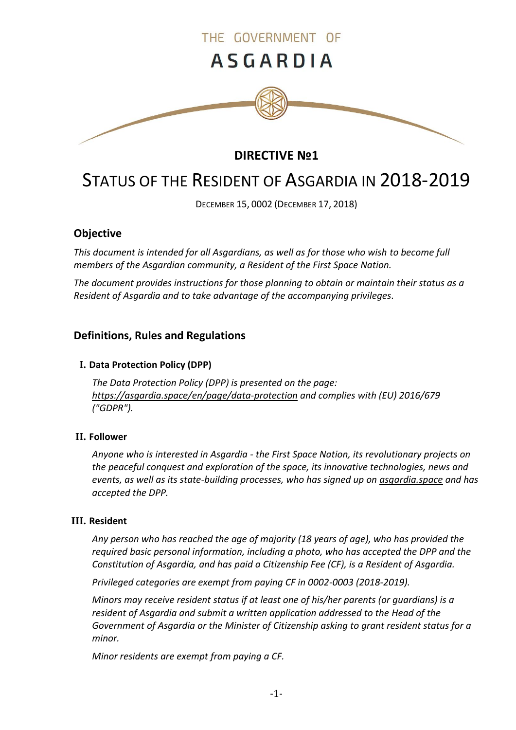

# **DIRECTIVE №1**

# STATUS OF THE RESIDENT OF ASGARDIA IN 2018-2019

DECEMBER 15, 0002 (DECEMBER 17, 2018)

# **Objective**

*This document is intended for all Asgardians, as well as for those who wish to become full members of the Asgardian community, a Resident of the First Space Nation.*

*The document provides instructions for those planning to obtain or maintain their status as a Resident of Asgardia and to take advantage of the accompanying privileges.*

# **Definitions, Rules and Regulations**

#### **I. Data Protection Policy (DPP)**

*The Data Protection Policy (DPP) is presented on the page: <https://asgardia.space/en/page/data-protection> and complies with (EU) 2016/679 ("GDPR").*

#### **II. Follower**

*Anyone who is interested in Asgardia - the First Space Nation, its revolutionary projects on the peaceful conquest and exploration of the space, its innovative technologies, news and events, as well as its state-building processes, who has signed up on asgardia.space and has accepted the DPP.*

#### **III. Resident**

*Any person who has reached the age of majority (18 years of age), who has provided the required basic personal information, including a photo, who has accepted the DPP and the Constitution of Asgardia, and has paid a Citizenship Fee (CF), is a Resident of Asgardia.*

*Privileged categories are exempt from paying CF in 0002-0003 (2018-2019).*

*Minors may receive resident status if at least one of his/her parents (or guardians) is a resident of Asgardia and submit а written application addressed to the Head of the Government of Asgardia or the Minister of Citizenship asking to grant resident status for a minor.*

*Minor residents are exempt from paying a CF.*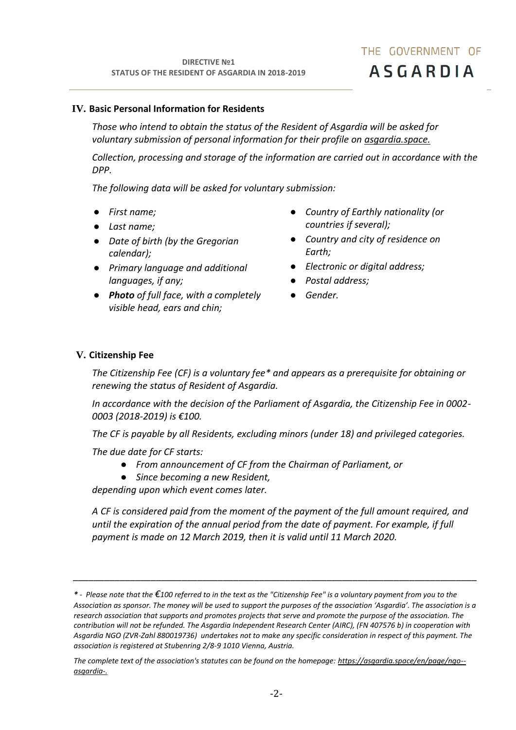#### **IV. Basic Personal Information for Residents**

*Those who intend to obtain the status of the Resident of Asgardia will be asked for voluntary submission of personal information for their profile on asgardia.space.*

*Collection, processing and storage of the information are carried out in accordance with the DPP.*

*The following data will be asked for voluntary submission:*

- *First name;*
- *Last name;*
- *Date of birth (by the Gregorian calendar);*
- *Primary language and additional languages, if any;*
- *Photo of full face, with a completely visible head, ears and chin;*
- *Country of Earthly nationality (or countries if several);*
- *Country and city of residence on Earth;*
- *Electronic or digital address;*
- *Postal address;*
- *Gender.*

#### **V. Citizenship Fee**

*The Citizenship Fee (CF) is a voluntary fee\* and appears as a prerequisite for obtaining or renewing the status of Resident of Asgardia.*

*In accordance with the decision of the Parliament of Asgardia, the Citizenship Fee in 0002- 0003 (2018-2019) is €100.*

*The CF is payable by all Residents, excluding minors (under 18) and privileged categories.*

*The due date for CF starts:*

- *From announcement of СF from the Chairman of Parliament, or*
- *Since becoming a new Resident,*

*depending upon which event comes later.*

*A CF is considered paid from the moment of the payment of the full amount required, and until the expiration of the annual period from the date of payment. For example, if full payment is made on 12 March 2019, then it is valid until 11 March 2020.*

*\_\_\_\_\_\_\_\_\_\_\_\_\_\_\_\_\_\_\_\_\_\_\_\_\_\_\_\_\_\_\_\_\_\_\_\_\_\_\_\_\_\_\_\_\_\_\_\_\_\_\_\_\_\_\_\_\_\_\_\_\_\_\_\_\_\_\_\_\_\_\_\_\_\_\_\_\_\_*

*<sup>\*</sup> - Please note that the €100 referred to in the text as the "Citizenship Fee" is a voluntary payment from you to the Association as sponsor. The money will be used to support the purposes of the association 'Asgardia'. The association is a research association that supports and promotes projects that serve and promote the purpose of the association. The contribution will not be refunded. The Asgardia Independent Research Center (AIRC), (FN 407576 b) in cooperation with Asgardia NGO (ZVR-Zahl 880019736) undertakes not to make any specific consideration in respect of this payment. The association is registered at Stubenring 2/8-9 1010 Vienna, Austria.*

*The complete text of the association's statutes can be found on the homepage: [https://asgardia.space/en/page/ngo-](https://asgardia.space/en/page/ngo--asgardia-) [asgardia-.](https://asgardia.space/en/page/ngo--asgardia-)*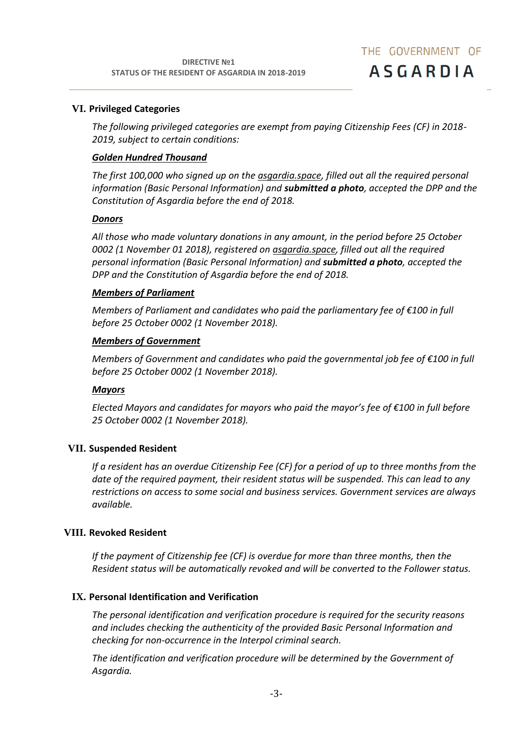#### **VI. Privileged Categories**

*The following privileged categories are exempt from paying Citizenship Fees (CF) in 2018- 2019, subject to certain conditions:*

#### *Golden Hundred Thousand*

*The first 100,000 who signed up on the asgardia.space, filled out all the required personal information (Basic Personal Information) and submitted a photo, accepted the DPP and the Constitution of Asgardia before the end of 2018.*

#### *Donors*

*All those who made voluntary donations in any amount, in the period before 25 October 0002 (1 November 01 2018), registered on asgardia.space, filled out all the required personal information (Basic Personal Information) and submitted a photo, accepted the DPP and the Constitution of Asgardia before the end of 2018.*

#### *Members of Parliament*

*Members of Parliament and candidates who paid the parliamentary fee of €100 in full before 25 October 0002 (1 November 2018).*

#### *Members of Government*

*Members of Government and candidates who paid the governmental job fee of €100 in full before 25 October 0002 (1 November 2018).*

#### *Mayors*

*Elected Mayors and candidates for mayors who paid the mayor's fee of €100 in full before 25 October 0002 (1 November 2018).*

## **VII. Suspended Resident**

*If a resident has an overdue Citizenship Fee (CF) for a period of up to three months from the date of the required payment, their resident status will be suspended. This can lead to any restrictions on access to some social and business services. Government services are always available.*

#### **VIII. Revoked Resident**

*If the payment of Citizenship fee (CF) is overdue for more than three months, then the Resident status will be automatically revoked and will be converted to the Follower status.*

## **IX. Personal Identification and Verification**

*The personal identification and verification procedure is required for the security reasons and includes checking the authenticity of the provided Basic Personal Information and checking for non-occurrence in the Interpol criminal search.*

*The identification and verification procedure will be determined by the Government of Asgardia.*